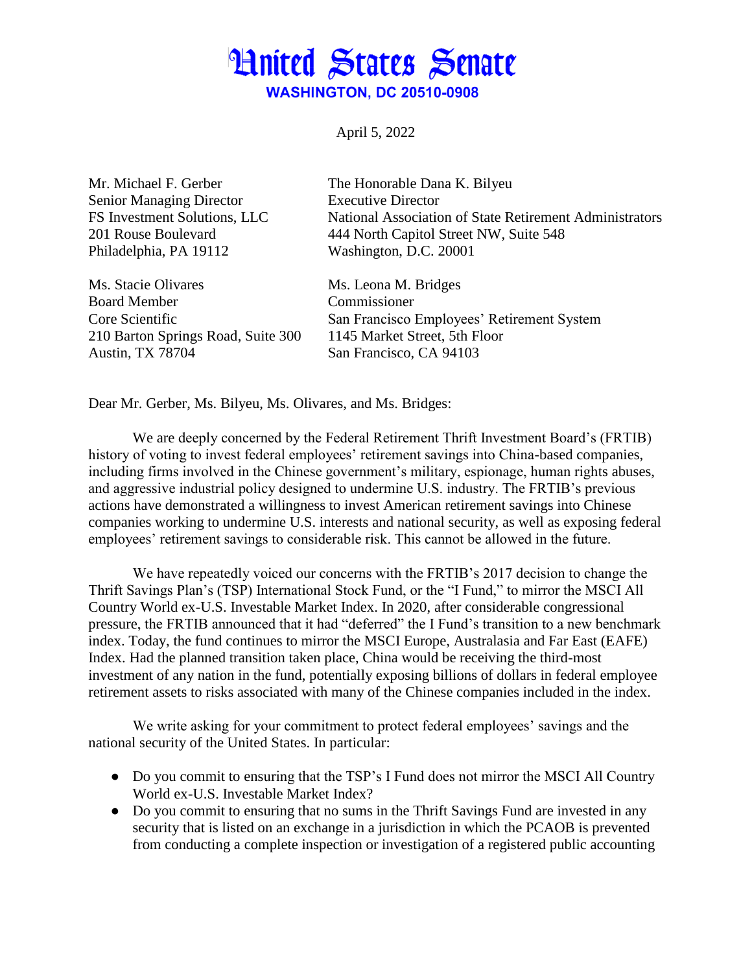## **Hnited States Senate WASHINGTON, DC 20510-0908**

April 5, 2022

Mr. Michael F. Gerber The Honorable Dana K. Bilyeu Senior Managing Director Executive Director Philadelphia, PA 19112 Washington, D.C. 20001

Ms. Stacie Olivares Ms. Leona M. Bridges Board Member Commissioner 210 Barton Springs Road, Suite 300 1145 Market Street, 5th Floor Austin, TX 78704 San Francisco, CA 94103

FS Investment Solutions, LLC National Association of State Retirement Administrators 201 Rouse Boulevard 444 North Capitol Street NW, Suite 548

Core Scientific San Francisco Employees' Retirement System

Dear Mr. Gerber, Ms. Bilyeu, Ms. Olivares, and Ms. Bridges:

We are deeply concerned by the Federal Retirement Thrift Investment Board's (FRTIB) history of voting to invest federal employees' retirement savings into China-based companies, including firms involved in the Chinese government's military, espionage, human rights abuses, and aggressive industrial policy designed to undermine U.S. industry. The FRTIB's previous actions have demonstrated a willingness to invest American retirement savings into Chinese companies working to undermine U.S. interests and national security, as well as exposing federal employees' retirement savings to considerable risk. This cannot be allowed in the future.

We have repeatedly voiced our concerns with the FRTIB's 2017 decision to change the Thrift Savings Plan's (TSP) International Stock Fund, or the "I Fund," to mirror the MSCI All Country World ex-U.S. Investable Market Index. In 2020, after considerable congressional pressure, the FRTIB announced that it had "deferred" the I Fund's transition to a new benchmark index. Today, the fund continues to mirror the MSCI Europe, Australasia and Far East (EAFE) Index. Had the planned transition taken place, China would be receiving the third-most investment of any nation in the fund, potentially exposing billions of dollars in federal employee retirement assets to risks associated with many of the Chinese companies included in the index.

We write asking for your commitment to protect federal employees' savings and the national security of the United States. In particular:

- Do you commit to ensuring that the TSP's I Fund does not mirror the MSCI All Country World ex-U.S. Investable Market Index?
- Do you commit to ensuring that no sums in the Thrift Savings Fund are invested in any security that is listed on an exchange in a jurisdiction in which the PCAOB is prevented from conducting a complete inspection or investigation of a registered public accounting